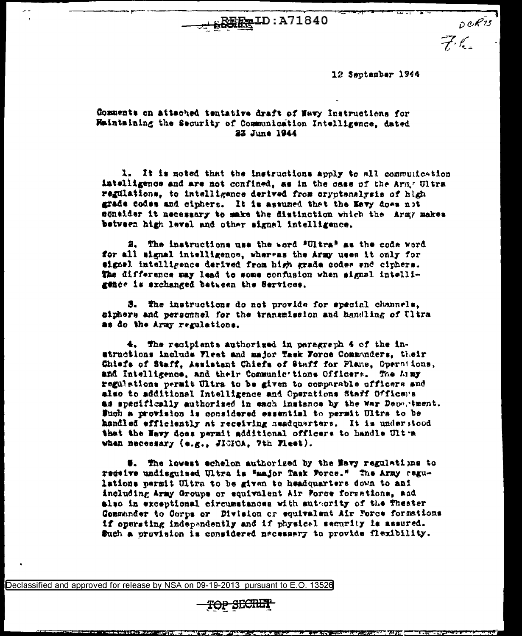湿足-- ID: A71840

12 September 1944

 $e^{i\pi i}$ 

## Comments on attached tentative draft of Navy Instructions for Haintaining the Security of Communication Intelligence, dated 23 June 1944

1. It is noted that the instructions apply to all communication intelligence and are not confined, as in the case of the Army Ultra regulations, to intelligence derived from cryptenalysis of high grade codes and ciphers. It is assumed that the Kevy does not sonalder it necessary to make the distinction which the Army makes between high level and other signal intelligence.

2. The instructions use the word "Ultra" as the code word for all signal intelligence, whereas the Army uses it only for signel intelligence derived from high grade codes end ciphers. The difference may lead to some confusion when signal intelligence is exchanged between the Services.

5. The instructions do not provide for special channels, ciphers and personnel for the transmission and handling of Ultra as do the Army regulations.

4. The recipients authorized in paragraph 4 of the instructions include Fleet and major Task Force Communders, their Chisfs of Staff, Assistant Chiefs of Staff for Plane, Operations, and Intelligence, and their Communic tions Officers. The Army regulations permit Ultra to be given to comparable officers and also to additional Intelligence and Operations Staff Officens as specifically authorized in each instance by the War Department. Such a provision is considered essential to permit Ultra to be handled efficiently at receiving neadquarters. It is understood that the Havy does permit additional officers to handle Ultra when necessary (e.g., JICPOA, 7th Fleet).

5. The lowest echelon authorized by the Mavy regulations to receive undisguised Ultra is "major Task Force." The Army regulations permit Ultra to be given to headquarters down to ani including Army Groups or equivalent Air Force forsations, and also in exceptional circumstances with suttority of the Theater Commander to Corps or Division or equivalent Air Force formations if operating independently and if physical security is assured. Such a provision is considered necessary to provide flexibility.

Declassified and approved for release by NSA on 09-19-2013 pursuant to E.O. 13526

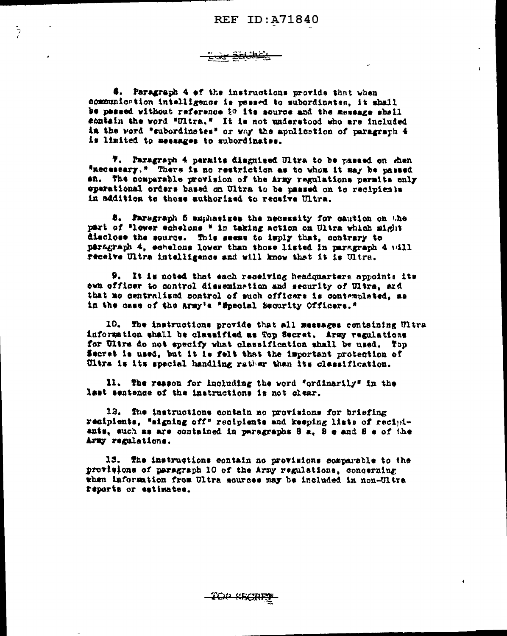كاستعجج

 $\bar{\gamma}$ 

6. Paragraph 4 of the instructions provide that when communication intelligence is passed to subordinates. it shall be passed without reference to its source and the message shall sontain the word "Ultra." It is not understood who are included in the word "subordinates" or way the application of paragraph 4 is limited to messages to subordinates.

7. Paragraph 4 permits diaguised Ultra to be passed on then "necessary." There is no restriction as to whom it may be passed en. The comparable provision of the Army regulations permits only eperational orders based on Ultra to be passed on to recipients in addition to those authorized to receive Ultra.

8. Paragraph 5 emphasizes the necessity for cantion on the part of "lower echelons " in taking action on Ultra which might disclose the source. This seems to imply that, contrary to paragraph 4, echelons lower than those listed in paragraph 4 will receive Ultra intelligence and will know that it is Ultra.

9. It is noted that each receiving headquarters appoints its own officer to control dissemination and security of Ultra, and that mo centralized control of such officers is contemplated, as in the case of the Army's "Special Security Officers."

10. The instructions provide that all messages containing Ultra information shall be classified as Top Secret. Army regulations for Ultra do not specify what classification shall be used. Top Secret is used, but it is felt that the important protection of Ultra is its special handling rather than its classification.

11. The reason for including the word "ordinarily" in the last sentence of the instructions is not clear.

12. The instructions contain no provisions for briefing recipients, "migning off" recipients and keeping lists of recipients, such as are contained in paragraphs 8 a, 8 e and 8 e of the Army regulations.

15. The instructions contain no provisions comparable to the provisions of paragraph 10 of the Army regulations, concerning when information from Ultra sources may be included in non-Ultra reports or estimates.

*'TCIP SECRE*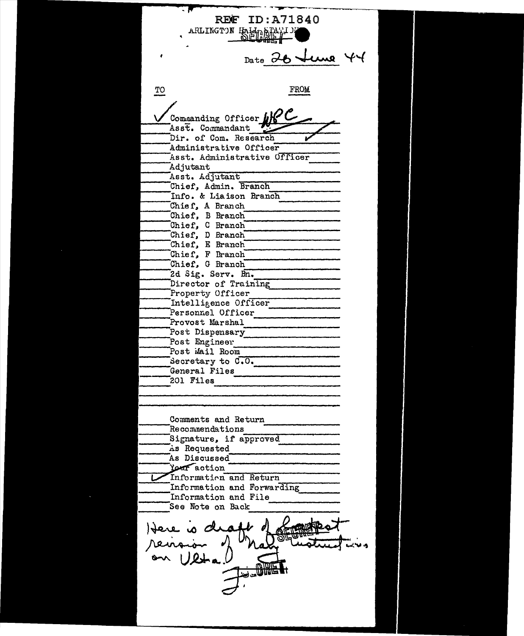---......... ~------ - . -- . - ~~--~~~ REE" ID:A71840 ARLINGT')N HALLASTA Date  $26$  tune 44 TO FROM  $\frac{1}{\sqrt{\frac{1}{1+\epsilon^2}}}$   $\frac{1}{\sqrt{1+\epsilon^2}}$ Asst. Commandant<br>Dir. of Com. Research Dir. of Com. Research<br>Administrative Officer Administrative Officer<br>
Asst. Administrative Officer<br>
Adjutant<br>
Asst. Adjutant<br>
Chief. Admin. Branch Info. & Liaison Branch ------Chief, A Branch ------------ ------Chief'. B Branch -------------~ Chief, C Branch<sup>-</sup><br>Chief, D Branch Chief, E Branch<sup>--</sup> Chief, F Branch Chief, G Branch 2d Sig. Serv. Bn. ----<br>Director of Training<br>Property Officer<br>Intelligence Officer Personnel Officer Provost Marshal<br>Post Dispensary<br>Post Engineer Provost Marshal Post Mail Room<br>Secretary to C.O.<br>General Files 201 Files -------------------- Comments and Return Recommendations Signature, if approved<br>As Requested<br>As Discussed Year action  $\blacktriangleright$  Information and Return Information and Forwarding<br>Information and File See Note on Back  $\frac{1}{2}$ Here is de reinaion -""""l!ij~ ....... .....,{ .... ~.,,, " **ULL**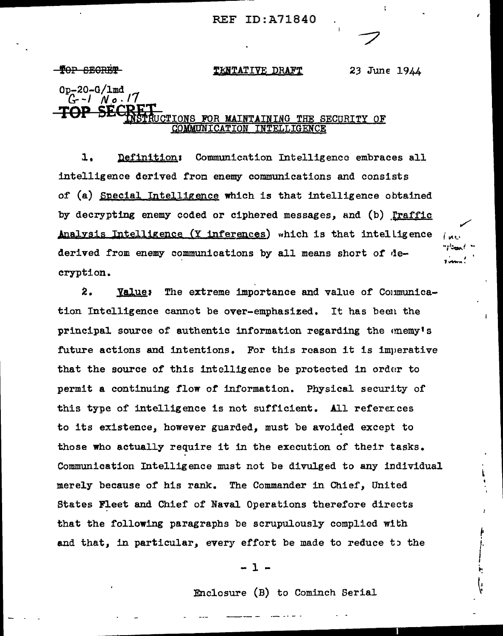## **REF ID: A71840**

**TOP SECRET** 

### TENTATIVE DRAFT

23 June 1944

 $0p - 20 - G/\text{Im}d$  $C - 1$  No.17 SEC UCTIONS FOR MAINTAINING THE SECURITY OF **COMMUNICATION TNTELLIGENCE** 

 $\mathbf{1}$ . Definition: Communication Intelligence embraces all intelligence derived from enemy communications and consists of (a) Special Intelligence which is that intelligence obtained by decrypting enemy coded or ciphered messages, and (b) Traffic Analysis Intelligence (Y inferences) which is that intelligence derived from enemy communications by all means short of decryption.

 $2.$ Value: The extreme importance and value of Communication Intelligence cannot be over-emphasized. It has been the principal source of authentic information regarding the enemy's future actions and intentions. For this reason it is imperative that the source of this intelligence be protected in order to permit a continuing flow of information. Physical security of this type of intelligence is not sufficient. All references to its existence, however guarded, must be avoided except to those who actually require it in the execution of their tasks. Communication Intelligence must not be divulged to any individual merely because of his rank. The Commander in Chief, United States Fleet and Chief of Naval Operations therefore directs that the following paragraphs be scrupulously complied with and that, in particular, every effort be made to reduce to the

 $-1-$ 

Enclosure (B) to Cominch Serial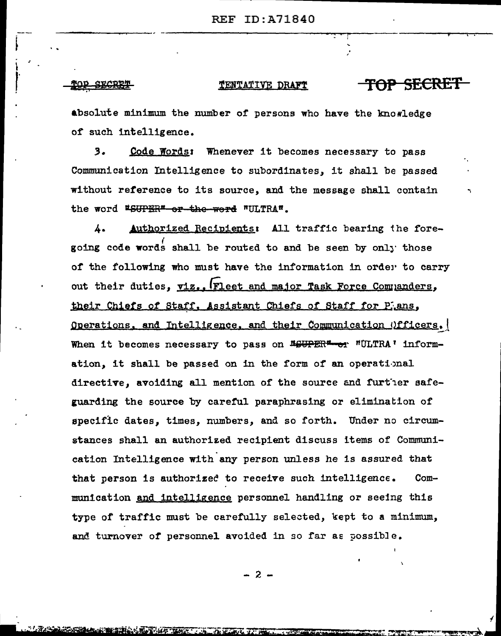### TENTATIVE DRAFT

TOP SECRET

absolute minimum the number of persons who have the knowledge of such intelligence.

 $3.$ Code Words: Whenever it becomes necessary to pass Communication Intelligence to subordinates, it shall be passed without reference to its source, and the message shall contain the word #SUPER" or the werd "ULTRA".

 $\mathbf{L}$ Authorized Recipients: All traffic bearing the foregoing code words shall be routed to and be seen by only those of the following who must have the information in order to carry out their duties, viz., Fleet and major Task Force Companders, their Chiefs of Staff, Assistant Chiefs of Staff for Plans, Operations, and Intelligence, and their Communication Officers, When it becomes necessary to pass on *MGUPER<sup>#</sup>*-or "ULTRA' information, it shall be passed on in the form of an operational directive, avoiding all mention of the source and further safeguarding the source by careful paraphrasing or elimination of specific dates, times, numbers, and so forth. Under no circumstances shall an authorized recipient discuss items of Communication Intelligence with any person unless he is assured that that person is authorized to receive such intelligence.  $Com$ munication and intelligence personnel handling or seeing this type of traffic must be carefully selected, kept to a minimum, and turnover of personnel avoided in so far as possible.

 $-2-$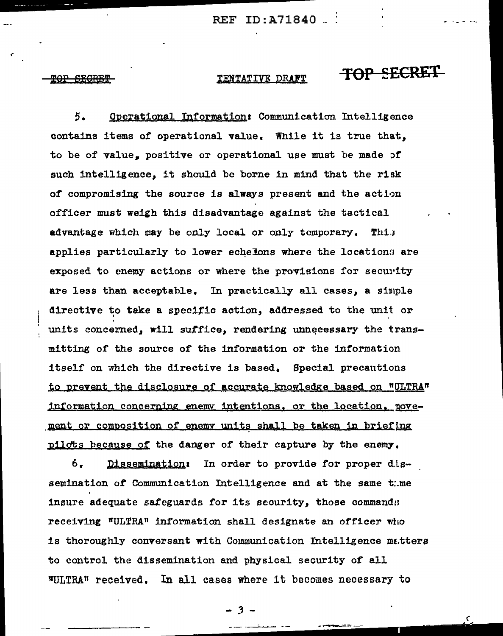#### TENTATIVE DRAFT

TOP SECRET

Operational Information: Communication Intelligence 5. contains items of operational value. While it is true that, to be of value. positive or operational use must be made of such intelligence, it should be borne in mind that the risk of compromising the source is always present and the action officer must weigh this disadvantage against the tactical advantage which may be only local or only temporary. This applies particularly to lower echelons where the locations are exposed to enemy actions or where the provisions for security are less than acceptable. In practically all cases, a simple directive to take a specific action, addressed to the unit or units concerned, will suffice, rendering unnecessary the transmitting of the source of the information or the information itself on which the directive is based. Special precautions to prevent the disclosure of accurate knowledge based on "ULTRA" information concerning enemy intentions, or the location, novement or composition of enemy units shall be taken in briefing pilots because of the danger of their capture by the enemy,

6. Dissemination: In order to provide for proper dissemination of Communication Intelligence and at the same tume insure adequate safeguards for its security, those commands receiving "ULTRA" information shall designate an officer who is thoroughly conversant with Communication Intelligence matters to control the dissemination and physical security of all "ULTRA" received. In all cases where it becomes necessary to

 $3 -$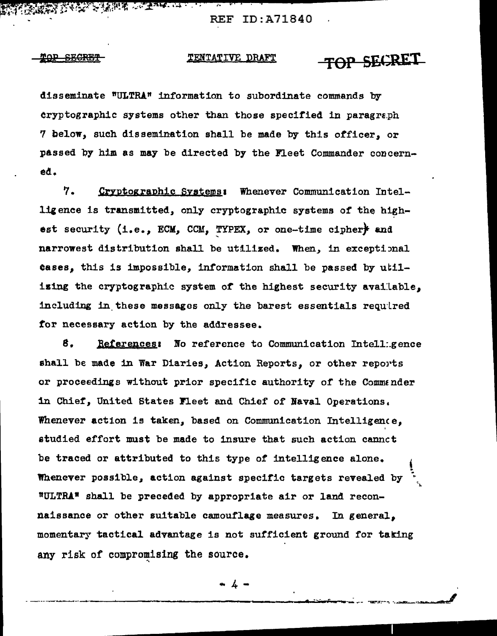**REAL PROPERTY AND REAL PROPERTY AND ARTICLES AND PROPERTY AND PROPERTY AREA REF ID:A71840** 

#### πΩP <del>SECRET</del>

#### TOP SECRET TENTATIVE DRAFT

disseminate "ULTRA" information to subordinate commands by cryptographic systems other than those specified in paragraph 7 below, such dissemination shall be made by this officer. or passed by him as may be directed by the Fleet Commander concerneđ.

 $\sim$ 

7. Cryptographic Systems: Whenever Communication Intelligence is transmitted, only cryptographic systems of the highest security (i.e., ECM, CCM, TYPEX, or one-time cipher) and narrowest distribution shall be utilized. When, in exceptional cases, this is impossible, information shall be passed by utilizing the cryptographic system of the highest security available, including in these messages only the barest essentials required for necessary action by the addressee.

₿. References: No reference to Communication Intelligence shall be made in War Diaries, Action Reports, or other reports or proceedings without prior specific authority of the Commander in Chief, United States Fleet and Chief of Naval Operations. Whenever action is taken, based on Communication Intelligence. studied effort must be made to insure that such action cannet be traced or attributed to this type of intelligence alone. Whenever possible, action against specific targets revealed by "ULTRA" shall be preceded by appropriate air or land reconnaissance or other suitable camouflage measures. In general, momentary tactical advantage is not sufficient ground for taking any risk of compromising the source.

4 -